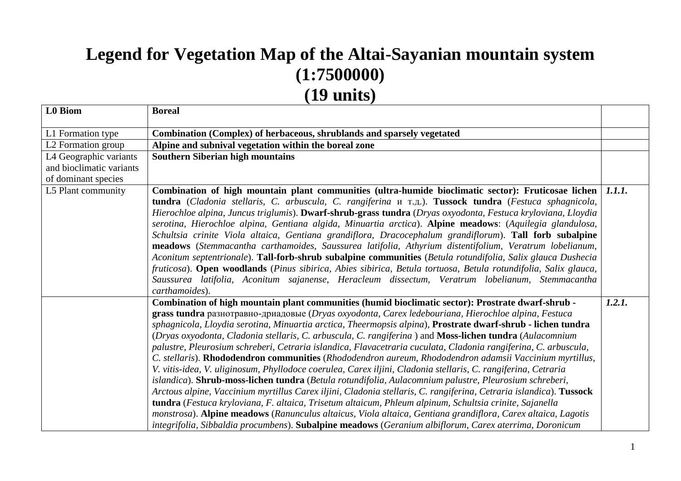## **Legend for Vegetation Map of the Altai-Sayanian mountain system (1:7500000) (19 units)**

| L0 Biom                  | <b>Boreal</b>                                                                                                      |               |
|--------------------------|--------------------------------------------------------------------------------------------------------------------|---------------|
|                          |                                                                                                                    |               |
| L1 Formation type        | Combination (Complex) of herbaceous, shrublands and sparsely vegetated                                             |               |
| L2 Formation group       | Alpine and subnival vegetation within the boreal zone                                                              |               |
| L4 Geographic variants   | <b>Southern Siberian high mountains</b>                                                                            |               |
| and bioclimatic variants |                                                                                                                    |               |
| of dominant species      |                                                                                                                    |               |
| L5 Plant community       | Combination of high mountain plant communities (ultra-humide bioclimatic sector): Fruticosae lichen                | <i>1.1.1.</i> |
|                          | tundra (Cladonia stellaris, C. arbuscula, C. rangiferina и т.д.). Tussock tundra (Festuca sphagnicola,             |               |
|                          | Hierochloe alpina, Juncus triglumis). Dwarf-shrub-grass tundra (Dryas oxyodonta, Festuca kryloviana, Lloydia       |               |
|                          | serotina, Hierochloe alpina, Gentiana algida, Minuartia arctica). Alpine meadows: (Aquilegia glandulosa,           |               |
|                          | Schultsia crinite Viola altaica, Gentiana grandiflora, Dracocephalum grandiflorum). Tall forb subalpine            |               |
|                          | meadows (Stemmacantha carthamoides, Saussurea latifolia, Athyrium distentifolium, Veratrum lobelianum,             |               |
|                          | Aconitum septentrionale). Tall-forb-shrub subalpine communities (Betula rotundifolia, Salix glauca Dushecia        |               |
|                          | fruticosa). Open woodlands (Pinus sibirica, Abies sibirica, Betula tortuosa, Betula rotundifolia, Salix glauca,    |               |
|                          | Saussurea latifolia, Aconitum sajanense, Heracleum dissectum, Veratrum lobelianum, Stemmacantha                    |               |
|                          | carthamoides).                                                                                                     |               |
|                          | Combination of high mountain plant communities (humid bioclimatic sector): Prostrate dwarf-shrub -                 | 1.2.1.        |
|                          | grass tundra разнотравно-дриадовые (Dryas oxyodonta, Carex ledebouriana, Hierochloe alpina, Festuca                |               |
|                          | sphagnicola, Lloydia serotina, Minuartia arctica, Theermopsis alpina), Prostrate dwarf-shrub - lichen tundra       |               |
|                          | (Dryas oxyodonta, Cladonia stellaris, C. arbuscula, C. rangiferina) and Moss-lichen tundra (Aulacomnium            |               |
|                          | palustre, Pleurosium schreberi, Cetraria islandica, Flavacetraria cuculata, Cladonia rangiferina, C. arbuscula,    |               |
|                          | C. stellaris). Rhododendron communities (Rhododendron aureum, Rhododendron adamsii Vaccinium myrtillus,            |               |
|                          | V. vitis-idea, V. uliginosum, Phyllodoce coerulea, Carex iljini, Cladonia stellaris, C. rangiferina, Cetraria      |               |
|                          | islandica). Shrub-moss-lichen tundra (Betula rotundifolia, Aulacomnium palustre, Pleurosium schreberi,             |               |
|                          | Arctous alpine, Vaccinium myrtillus Carex iljini, Cladonia stellaris, C. rangiferina, Cetraria islandica). Tussock |               |
|                          | tundra (Festuca kryloviana, F. altaica, Trisetum altaicum, Phleum alpinum, Schultsia crinite, Sajanella            |               |
|                          | monstrosa). Alpine meadows (Ranunculus altaicus, Viola altaica, Gentiana grandiflora, Carex altaica, Lagotis       |               |
|                          | integrifolia, Sibbaldia procumbens). Subalpine meadows (Geranium albiflorum, Carex aterrima, Doronicum             |               |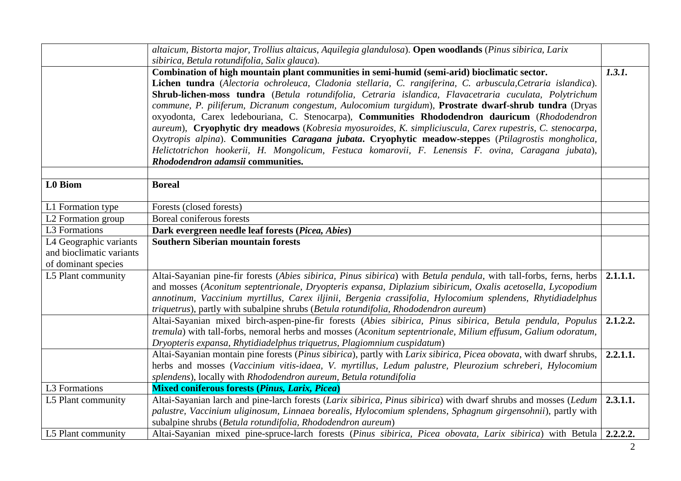|                          | altaicum, Bistorta major, Trollius altaicus, Aquilegia glandulosa). Open woodlands (Pinus sibirica, Larix<br>sibirica, Betula rotundifolia, Salix glauca).                                                                                                                                                                                                                                                                                                                                                                                                                                                                                                                                                                                                                                                                                                                                     |          |
|--------------------------|------------------------------------------------------------------------------------------------------------------------------------------------------------------------------------------------------------------------------------------------------------------------------------------------------------------------------------------------------------------------------------------------------------------------------------------------------------------------------------------------------------------------------------------------------------------------------------------------------------------------------------------------------------------------------------------------------------------------------------------------------------------------------------------------------------------------------------------------------------------------------------------------|----------|
|                          | Combination of high mountain plant communities in semi-humid (semi-arid) bioclimatic sector.<br>Lichen tundra (Alectoria ochroleuca, Cladonia stellaria, C. rangiferina, C. arbuscula, Cetraria islandica).<br>Shrub-lichen-moss tundra (Betula rotundifolia, Cetraria islandica, Flavacetraria cuculata, Polytrichum<br>commune, P. piliferum, Dicranum congestum, Aulocomium turgidum), Prostrate dwarf-shrub tundra (Dryas<br>oxyodonta, Carex ledebouriana, C. Stenocarpa), Communities Rhododendron dauricum (Rhododendron<br>aureum), Cryophytic dry meadows (Kobresia myosuroides, K. simpliciuscula, Carex rupestris, C. stenocarpa,<br>Oxytropis alpina). Communities Caragana jubata. Cryophytic meadow-steppes (Ptilagrostis mongholica,<br>Helictotrichon hookerii, H. Mongolicum, Festuca komarovii, F. Lenensis F. ovina, Caragana jubata),<br>Rhododendron adamsii communities. | 1.3.1.   |
| <b>L0</b> Biom           | <b>Boreal</b>                                                                                                                                                                                                                                                                                                                                                                                                                                                                                                                                                                                                                                                                                                                                                                                                                                                                                  |          |
|                          |                                                                                                                                                                                                                                                                                                                                                                                                                                                                                                                                                                                                                                                                                                                                                                                                                                                                                                |          |
| L1 Formation type        | Forests (closed forests)                                                                                                                                                                                                                                                                                                                                                                                                                                                                                                                                                                                                                                                                                                                                                                                                                                                                       |          |
| L2 Formation group       | Boreal coniferous forests                                                                                                                                                                                                                                                                                                                                                                                                                                                                                                                                                                                                                                                                                                                                                                                                                                                                      |          |
| L3 Formations            | Dark evergreen needle leaf forests (Picea, Abies)                                                                                                                                                                                                                                                                                                                                                                                                                                                                                                                                                                                                                                                                                                                                                                                                                                              |          |
| L4 Geographic variants   | <b>Southern Siberian mountain forests</b>                                                                                                                                                                                                                                                                                                                                                                                                                                                                                                                                                                                                                                                                                                                                                                                                                                                      |          |
| and bioclimatic variants |                                                                                                                                                                                                                                                                                                                                                                                                                                                                                                                                                                                                                                                                                                                                                                                                                                                                                                |          |
| of dominant species      |                                                                                                                                                                                                                                                                                                                                                                                                                                                                                                                                                                                                                                                                                                                                                                                                                                                                                                |          |
| L5 Plant community       | Altai-Sayanian pine-fir forests (Abies sibirica, Pinus sibirica) with Betula pendula, with tall-forbs, ferns, herbs<br>and mosses (Aconitum septentrionale, Dryopteris expansa, Diplazium sibiricum, Oxalis acetosella, Lycopodium<br>annotinum, Vaccinium myrtillus, Carex iljinii, Bergenia crassifolia, Hylocomium splendens, Rhytidiadelphus<br>triquetrus), partly with subalpine shrubs (Betula rotundifolia, Rhododendron aureum)                                                                                                                                                                                                                                                                                                                                                                                                                                                       | 2.1.1.1. |
|                          | Altai-Sayanian mixed birch-aspen-pine-fir forests (Abies sibirica, Pinus sibirica, Betula pendula, Populus<br>tremula) with tall-forbs, nemoral herbs and mosses (Aconitum septentrionale, Milium effusum, Galium odoratum,<br>Dryopteris expansa, Rhytidiadelphus triquetrus, Plagiomnium cuspidatum)                                                                                                                                                                                                                                                                                                                                                                                                                                                                                                                                                                                         | 2.1.2.2. |
|                          | Altai-Sayanian montain pine forests (Pinus sibirica), partly with Larix sibirica, Picea obovata, with dwarf shrubs,<br>herbs and mosses (Vaccinium vitis-idaea, V. myrtillus, Ledum palustre, Pleurozium schreberi, Hylocomium<br>splendens), locally with Rhododendron aureum, Betula rotundifolia                                                                                                                                                                                                                                                                                                                                                                                                                                                                                                                                                                                            | 2.2.1.1. |
| L3 Formations            | <b>Mixed coniferous forests (Pinus, Larix, Picea)</b>                                                                                                                                                                                                                                                                                                                                                                                                                                                                                                                                                                                                                                                                                                                                                                                                                                          |          |
| L5 Plant community       | Altai-Sayanian larch and pine-larch forests (Larix sibirica, Pinus sibirica) with dwarf shrubs and mosses (Ledum<br>palustre, Vaccinium uliginosum, Linnaea borealis, Hylocomium splendens, Sphagnum girgensohnii), partly with<br>subalpine shrubs (Betula rotundifolia, Rhododendron aureum)                                                                                                                                                                                                                                                                                                                                                                                                                                                                                                                                                                                                 | 2.3.1.1. |
| L5 Plant community       | Altai-Sayanian mixed pine-spruce-larch forests (Pinus sibirica, Picea obovata, Larix sibirica) with Betula 2.2.2.2.                                                                                                                                                                                                                                                                                                                                                                                                                                                                                                                                                                                                                                                                                                                                                                            |          |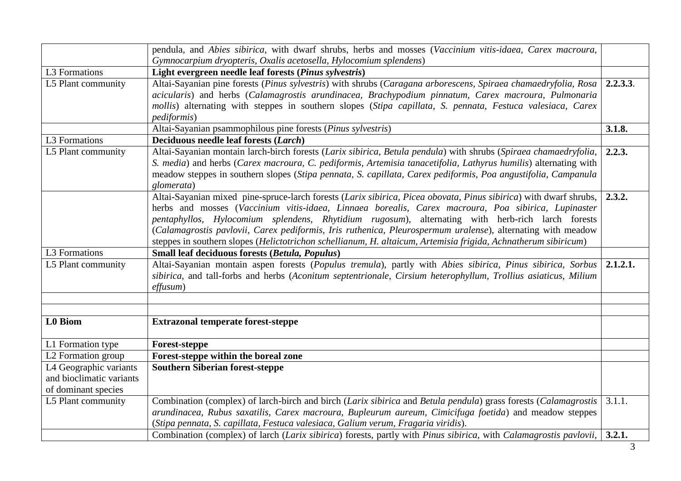|                                                                           | pendula, and Abies sibirica, with dwarf shrubs, herbs and mosses (Vaccinium vitis-idaea, Carex macroura,                                                                                                                                                                                                                                                                                                                                                                                                                                                      |          |
|---------------------------------------------------------------------------|---------------------------------------------------------------------------------------------------------------------------------------------------------------------------------------------------------------------------------------------------------------------------------------------------------------------------------------------------------------------------------------------------------------------------------------------------------------------------------------------------------------------------------------------------------------|----------|
|                                                                           | Gymnocarpium dryopteris, Oxalis acetosella, Hylocomium splendens)                                                                                                                                                                                                                                                                                                                                                                                                                                                                                             |          |
| L3 Formations                                                             | Light evergreen needle leaf forests (Pinus sylvestris)                                                                                                                                                                                                                                                                                                                                                                                                                                                                                                        |          |
| L5 Plant community                                                        | Altai-Sayanian pine forests (Pinus sylvestris) with shrubs (Caragana arborescens, Spiraea chamaedryfolia, Rosa<br>acicularis) and herbs (Calamagrostis arundinacea, Brachypodium pinnatum, Carex macroura, Pulmonaria<br>mollis) alternating with steppes in southern slopes (Stipa capillata, S. pennata, Festuca valesiaca, Carex<br><i>pediformis</i> )                                                                                                                                                                                                    | 2.2.3.3. |
|                                                                           | Altai-Sayanian psammophilous pine forests (Pinus sylvestris)                                                                                                                                                                                                                                                                                                                                                                                                                                                                                                  | 3.1.8.   |
| L3 Formations                                                             | Deciduous needle leaf forests (Larch)                                                                                                                                                                                                                                                                                                                                                                                                                                                                                                                         |          |
| L5 Plant community                                                        | Altai-Sayanian montain larch-birch forests (Larix sibirica, Betula pendula) with shrubs (Spiraea chamaedryfolia,<br>S. media) and herbs (Carex macroura, C. pediformis, Artemisia tanacetifolia, Lathyrus humilis) alternating with<br>meadow steppes in southern slopes (Stipa pennata, S. capillata, Carex pediformis, Poa angustifolia, Campanula<br>glomerata)                                                                                                                                                                                            | 2.2.3.   |
|                                                                           | Altai-Sayanian mixed pine-spruce-larch forests (Larix sibirica, Picea obovata, Pinus sibirica) with dwarf shrubs,<br>herbs and mosses (Vaccinium vitis-idaea, Linnaea borealis, Carex macroura, Poa sibirica, Lupinaster<br>pentaphyllos, Hylocomium splendens, Rhytidium rugosum), alternating with herb-rich larch forests<br>(Calamagrostis pavlovii, Carex pediformis, Iris ruthenica, Pleurospermum uralense), alternating with meadow<br>steppes in southern slopes (Helictotrichon schellianum, H. altaicum, Artemisia frigida, Achnatherum sibiricum) | 2.3.2.   |
| L3 Formations                                                             | Small leaf deciduous forests (Betula, Populus)                                                                                                                                                                                                                                                                                                                                                                                                                                                                                                                |          |
| L5 Plant community                                                        | Altai-Sayanian montain aspen forests (Populus tremula), partly with Abies sibirica, Pinus sibirica, Sorbus<br>sibirica, and tall-forbs and herbs (Aconitum septentrionale, Cirsium heterophyllum, Trollius asiaticus, Milium<br>effusum)                                                                                                                                                                                                                                                                                                                      | 2.1.2.1. |
|                                                                           |                                                                                                                                                                                                                                                                                                                                                                                                                                                                                                                                                               |          |
| <b>L0</b> Biom                                                            | <b>Extrazonal temperate forest-steppe</b>                                                                                                                                                                                                                                                                                                                                                                                                                                                                                                                     |          |
| L1 Formation type                                                         | <b>Forest-steppe</b>                                                                                                                                                                                                                                                                                                                                                                                                                                                                                                                                          |          |
| L2 Formation group                                                        | Forest-steppe within the boreal zone                                                                                                                                                                                                                                                                                                                                                                                                                                                                                                                          |          |
| L4 Geographic variants<br>and bioclimatic variants<br>of dominant species | <b>Southern Siberian forest-steppe</b>                                                                                                                                                                                                                                                                                                                                                                                                                                                                                                                        |          |
| L5 Plant community                                                        | Combination (complex) of larch-birch and birch (Larix sibirica and Betula pendula) grass forests (Calamagrostis<br>arundinacea, Rubus saxatilis, Carex macroura, Bupleurum aureum, Cimicifuga foetida) and meadow steppes<br>(Stipa pennata, S. capillata, Festuca valesiaca, Galium verum, Fragaria viridis).                                                                                                                                                                                                                                                | 3.1.1.   |
|                                                                           | Combination (complex) of larch (Larix sibirica) forests, partly with Pinus sibirica, with Calamagrostis pavlovii,                                                                                                                                                                                                                                                                                                                                                                                                                                             | 3.2.1.   |